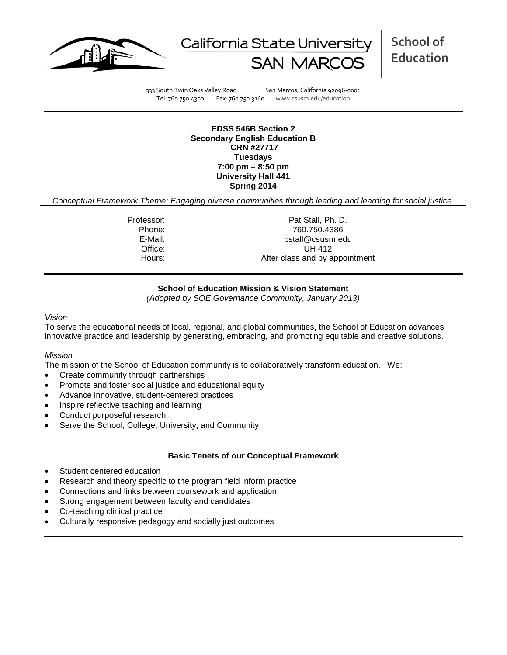



**School of Education**

333 South Twin Oaks Valley Road San Marcos, California 92096-0001 Tel: 760.750.4300 Fax: 760.750.3160 www.csusm.edu/education

**EDSS 546B Section 2 Secondary English Education B CRN #27717 Tuesdays 7:00 pm – 8:50 pm University Hall 441 Spring 2014**

*Conceptual Framework Theme: Engaging diverse communities through leading and learning for social justice.*

Professor: Pat Stall, Ph. D. Phone: 760.750.4386<br>E-Mail: 760.750.4386<br>E-Mail: 760.750.4386 pstall@csusm.edu Office: UH 412 Hours: Hours: After class and by appointment

#### **School of Education Mission & Vision Statement**

*(Adopted by SOE Governance Community, January 2013)*

#### *Vision*

To serve the educational needs of local, regional, and global communities, the School of Education advances innovative practice and leadership by generating, embracing, and promoting equitable and creative solutions.

#### *Mission*

The mission of the School of Education community is to collaboratively transform education. We:

- Create community through partnerships
- Promote and foster social justice and educational equity
- Advance innovative, student-centered practices
- Inspire reflective teaching and learning
- Conduct purposeful research
- Serve the School, College, University, and Community

#### **Basic Tenets of our Conceptual Framework**

- Student centered education
- Research and theory specific to the program field inform practice
- Connections and links between coursework and application
- Strong engagement between faculty and candidates
- Co-teaching clinical practice
- Culturally responsive pedagogy and socially just outcomes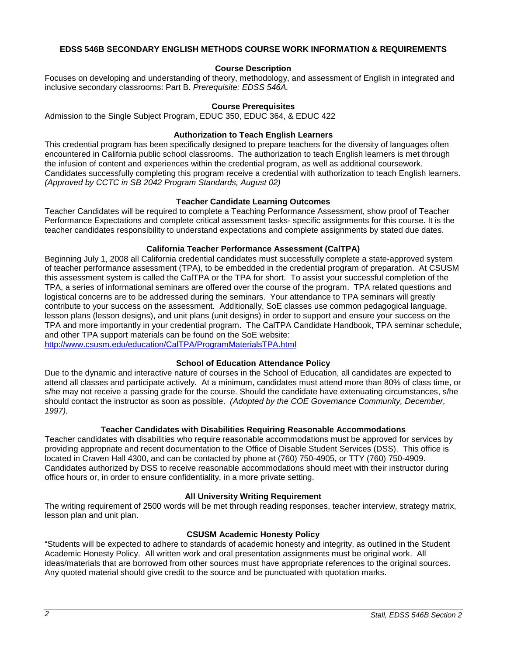#### **EDSS 546B SECONDARY ENGLISH METHODS COURSE WORK INFORMATION & REQUIREMENTS**

#### **Course Description**

Focuses on developing and understanding of theory, methodology, and assessment of English in integrated and inclusive secondary classrooms: Part B. *Prerequisite: EDSS 546A.*

#### **Course Prerequisites**

Admission to the Single Subject Program, EDUC 350, EDUC 364, & EDUC 422

#### **Authorization to Teach English Learners**

This credential program has been specifically designed to prepare teachers for the diversity of languages often encountered in California public school classrooms. The authorization to teach English learners is met through the infusion of content and experiences within the credential program, as well as additional coursework. Candidates successfully completing this program receive a credential with authorization to teach English learners. *(Approved by CCTC in SB 2042 Program Standards, August 02)*

#### **Teacher Candidate Learning Outcomes**

Teacher Candidates will be required to complete a Teaching Performance Assessment, show proof of Teacher Performance Expectations and complete critical assessment tasks- specific assignments for this course. It is the teacher candidates responsibility to understand expectations and complete assignments by stated due dates.

#### **California Teacher Performance Assessment (CalTPA)**

Beginning July 1, 2008 all California credential candidates must successfully complete a state-approved system of teacher performance assessment (TPA), to be embedded in the credential program of preparation. At CSUSM this assessment system is called the CalTPA or the TPA for short. To assist your successful completion of the TPA, a series of informational seminars are offered over the course of the program. TPA related questions and logistical concerns are to be addressed during the seminars. Your attendance to TPA seminars will greatly contribute to your success on the assessment. Additionally, SoE classes use common pedagogical language, lesson plans (lesson designs), and unit plans (unit designs) in order to support and ensure your success on the TPA and more importantly in your credential program. The CalTPA Candidate Handbook, TPA seminar schedule, and other TPA support materials can be found on the SoE website:

<http://www.csusm.edu/education/CalTPA/ProgramMaterialsTPA.html>

## **School of Education Attendance Policy**

Due to the dynamic and interactive nature of courses in the School of Education, all candidates are expected to attend all classes and participate actively. At a minimum, candidates must attend more than 80% of class time, or s/he may not receive a passing grade for the course. Should the candidate have extenuating circumstances, s/he should contact the instructor as soon as possible. *(Adopted by the COE Governance Community, December, 1997).*

## **Teacher Candidates with Disabilities Requiring Reasonable Accommodations**

Teacher candidates with disabilities who require reasonable accommodations must be approved for services by providing appropriate and recent documentation to the Office of Disable Student Services (DSS). This office is located in Craven Hall 4300, and can be contacted by phone at (760) 750-4905, or TTY (760) 750-4909. Candidates authorized by DSS to receive reasonable accommodations should meet with their instructor during office hours or, in order to ensure confidentiality, in a more private setting.

## **All University Writing Requirement**

The writing requirement of 2500 words will be met through reading responses, teacher interview, strategy matrix, lesson plan and unit plan.

## **CSUSM Academic Honesty Policy**

"Students will be expected to adhere to standards of academic honesty and integrity, as outlined in the Student Academic Honesty Policy. All written work and oral presentation assignments must be original work. All ideas/materials that are borrowed from other sources must have appropriate references to the original sources. Any quoted material should give credit to the source and be punctuated with quotation marks.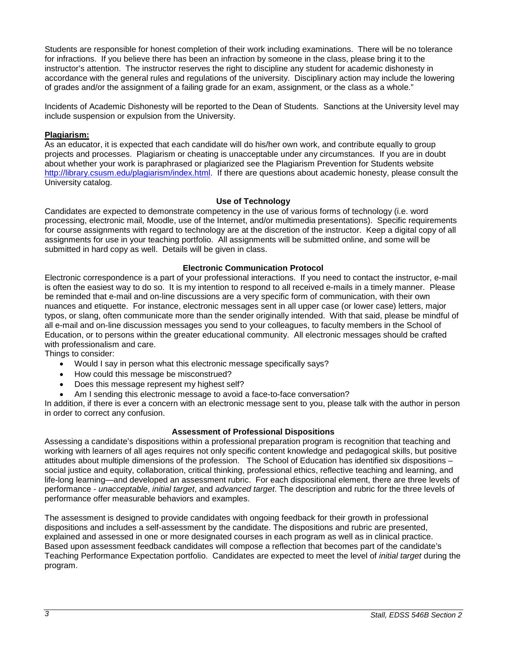Students are responsible for honest completion of their work including examinations. There will be no tolerance for infractions. If you believe there has been an infraction by someone in the class, please bring it to the instructor's attention. The instructor reserves the right to discipline any student for academic dishonesty in accordance with the general rules and regulations of the university. Disciplinary action may include the lowering of grades and/or the assignment of a failing grade for an exam, assignment, or the class as a whole."

Incidents of Academic Dishonesty will be reported to the Dean of Students. Sanctions at the University level may include suspension or expulsion from the University.

### **Plagiarism:**

As an educator, it is expected that each candidate will do his/her own work, and contribute equally to group projects and processes. Plagiarism or cheating is unacceptable under any circumstances. If you are in doubt about whether your work is paraphrased or plagiarized see the Plagiarism Prevention for Students website [http://library.csusm.edu/plagiarism/index.html.](http://library.csusm.edu/plagiarism/index.html) If there are questions about academic honesty, please consult the University catalog.

#### **Use of Technology**

Candidates are expected to demonstrate competency in the use of various forms of technology (i.e. word processing, electronic mail, Moodle, use of the Internet, and/or multimedia presentations). Specific requirements for course assignments with regard to technology are at the discretion of the instructor. Keep a digital copy of all assignments for use in your teaching portfolio. All assignments will be submitted online, and some will be submitted in hard copy as well. Details will be given in class.

#### **Electronic Communication Protocol**

Electronic correspondence is a part of your professional interactions. If you need to contact the instructor, e-mail is often the easiest way to do so. It is my intention to respond to all received e-mails in a timely manner. Please be reminded that e-mail and on-line discussions are a very specific form of communication, with their own nuances and etiquette. For instance, electronic messages sent in all upper case (or lower case) letters, major typos, or slang, often communicate more than the sender originally intended. With that said, please be mindful of all e-mail and on-line discussion messages you send to your colleagues, to faculty members in the School of Education, or to persons within the greater educational community. All electronic messages should be crafted with professionalism and care.

Things to consider:

- Would I say in person what this electronic message specifically says?
- How could this message be misconstrued?
- Does this message represent my highest self?
- Am I sending this electronic message to avoid a face-to-face conversation?

In addition, if there is ever a concern with an electronic message sent to you, please talk with the author in person in order to correct any confusion.

#### **Assessment of Professional Dispositions**

Assessing a candidate's dispositions within a professional preparation program is recognition that teaching and working with learners of all ages requires not only specific content knowledge and pedagogical skills, but positive attitudes about multiple dimensions of the profession. The School of Education has identified six dispositions – social justice and equity, collaboration, critical thinking, professional ethics, reflective teaching and learning, and life-long learning—and developed an assessment rubric. For each dispositional element, there are three levels of performance - *unacceptable*, *initial target*, and *advanced target*. The description and rubric for the three levels of performance offer measurable behaviors and examples.

The assessment is designed to provide candidates with ongoing feedback for their growth in professional dispositions and includes a self-assessment by the candidate. The dispositions and rubric are presented, explained and assessed in one or more designated courses in each program as well as in clinical practice. Based upon assessment feedback candidates will compose a reflection that becomes part of the candidate's Teaching Performance Expectation portfolio. Candidates are expected to meet the level of *initial target* during the program.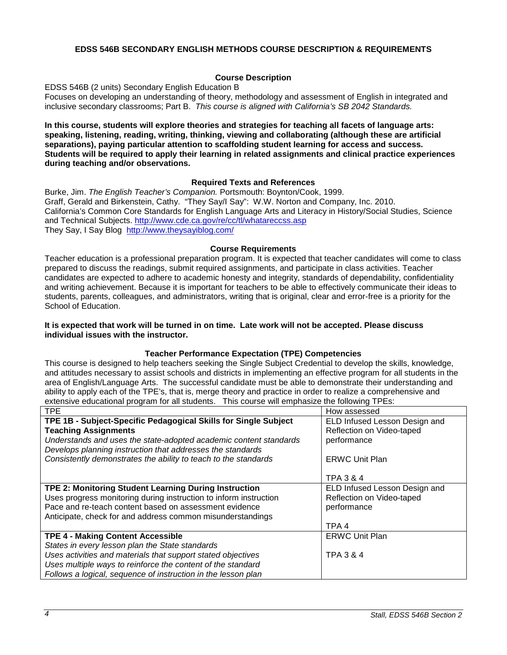### **EDSS 546B SECONDARY ENGLISH METHODS COURSE DESCRIPTION & REQUIREMENTS**

## **Course Description**

EDSS 546B (2 units) Secondary English Education B

Focuses on developing an understanding of theory, methodology and assessment of English in integrated and inclusive secondary classrooms; Part B. *This course is aligned with California's SB 2042 Standards.* 

**In this course, students will explore theories and strategies for teaching all facets of language arts: speaking, listening, reading, writing, thinking, viewing and collaborating (although these are artificial separations), paying particular attention to scaffolding student learning for access and success. Students will be required to apply their learning in related assignments and clinical practice experiences during teaching and/or observations.**

#### **Required Texts and References**

Burke, Jim. *The English Teacher's Companion.* Portsmouth: Boynton/Cook, 1999. Graff, Gerald and Birkenstein, Cathy. "They Say/I Say": W.W. Norton and Company, Inc. 2010. California's Common Core Standards for English Language Arts and Literacy in History/Social Studies, Science and Technical Subjects.<http://www.cde.ca.gov/re/cc/tl/whatareccss.asp> They Say, I Say Blog <http://www.theysayiblog.com/>

#### **Course Requirements**

Teacher education is a professional preparation program. It is expected that teacher candidates will come to class prepared to discuss the readings, submit required assignments, and participate in class activities. Teacher candidates are expected to adhere to academic honesty and integrity, standards of dependability, confidentiality and writing achievement. Because it is important for teachers to be able to effectively communicate their ideas to students, parents, colleagues, and administrators, writing that is original, clear and error-free is a priority for the School of Education.

#### **It is expected that work will be turned in on time. Late work will not be accepted. Please discuss individual issues with the instructor.**

## **Teacher Performance Expectation (TPE) Competencies**

This course is designed to help teachers seeking the Single Subject Credential to develop the skills, knowledge, and attitudes necessary to assist schools and districts in implementing an effective program for all students in the area of English/Language Arts. The successful candidate must be able to demonstrate their understanding and ability to apply each of the TPE's, that is, merge theory and practice in order to realize a comprehensive and extensive educational program for all students. This course will emphasize the following TPEs:

| <b>TPE</b>                                                        | How assessed                  |
|-------------------------------------------------------------------|-------------------------------|
| TPE 1B - Subject-Specific Pedagogical Skills for Single Subject   | ELD Infused Lesson Design and |
| <b>Teaching Assignments</b>                                       | Reflection on Video-taped     |
| Understands and uses the state-adopted academic content standards | performance                   |
| Develops planning instruction that addresses the standards        |                               |
| Consistently demonstrates the ability to teach to the standards   | <b>ERWC Unit Plan</b>         |
|                                                                   |                               |
|                                                                   | TPA 3 & 4                     |
| TPE 2: Monitoring Student Learning During Instruction             | ELD Infused Lesson Design and |
| Uses progress monitoring during instruction to inform instruction | Reflection on Video-taped     |
| Pace and re-teach content based on assessment evidence            | performance                   |
| Anticipate, check for and address common misunderstandings        |                               |
|                                                                   | TPA 4                         |
| <b>TPE 4 - Making Content Accessible</b>                          | <b>ERWC Unit Plan</b>         |
| States in every lesson plan the State standards                   |                               |
| Uses activities and materials that support stated objectives      | TPA 3 & 4                     |
| Uses multiple ways to reinforce the content of the standard       |                               |
| Follows a logical, sequence of instruction in the lesson plan     |                               |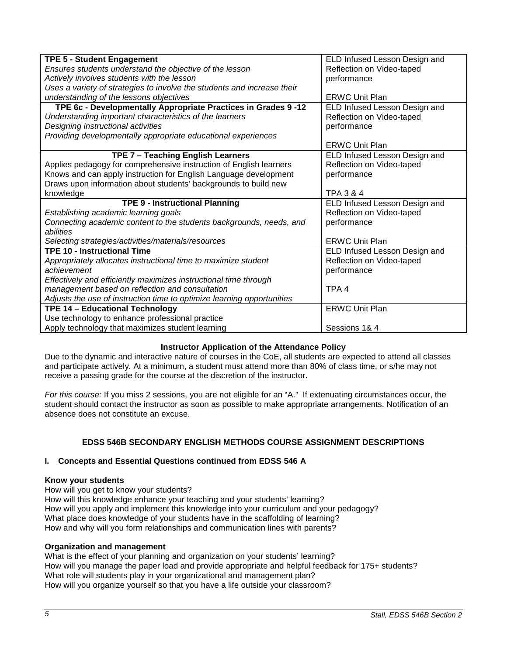| <b>TPE 5 - Student Engagement</b>                                       | ELD Infused Lesson Design and |
|-------------------------------------------------------------------------|-------------------------------|
| Ensures students understand the objective of the lesson                 | Reflection on Video-taped     |
| Actively involves students with the lesson                              | performance                   |
| Uses a variety of strategies to involve the students and increase their |                               |
| understanding of the lessons objectives                                 | <b>ERWC Unit Plan</b>         |
| TPE 6c - Developmentally Appropriate Practices in Grades 9 -12          | ELD Infused Lesson Design and |
| Understanding important characteristics of the learners                 | Reflection on Video-taped     |
| Designing instructional activities                                      | performance                   |
| Providing developmentally appropriate educational experiences           |                               |
|                                                                         | <b>ERWC Unit Plan</b>         |
| TPE 7 - Teaching English Learners                                       | ELD Infused Lesson Design and |
| Applies pedagogy for comprehensive instruction of English learners      | Reflection on Video-taped     |
| Knows and can apply instruction for English Language development        | performance                   |
| Draws upon information about students' backgrounds to build new         |                               |
| knowledge                                                               | <b>TPA 3 &amp; 4</b>          |
| <b>TPE 9 - Instructional Planning</b>                                   | ELD Infused Lesson Design and |
| Establishing academic learning goals                                    | Reflection on Video-taped     |
| Connecting academic content to the students backgrounds, needs, and     | performance                   |
| abilities                                                               |                               |
| Selecting strategies/activities/materials/resources                     | <b>ERWC Unit Plan</b>         |
| <b>TPE 10 - Instructional Time</b>                                      | ELD Infused Lesson Design and |
| Appropriately allocates instructional time to maximize student          | Reflection on Video-taped     |
| achievement                                                             | performance                   |
| Effectively and efficiently maximizes instructional time through        |                               |
| management based on reflection and consultation                         | TPA <sub>4</sub>              |
| Adjusts the use of instruction time to optimize learning opportunities  |                               |
| TPE 14 - Educational Technology                                         | <b>ERWC Unit Plan</b>         |
| Use technology to enhance professional practice                         |                               |
| Apply technology that maximizes student learning                        | Sessions 1& 4                 |

## **Instructor Application of the Attendance Policy**

Due to the dynamic and interactive nature of courses in the CoE, all students are expected to attend all classes and participate actively. At a minimum, a student must attend more than 80% of class time, or s/he may not receive a passing grade for the course at the discretion of the instructor.

*For this course:* If you miss 2 sessions, you are not eligible for an "A." If extenuating circumstances occur, the student should contact the instructor as soon as possible to make appropriate arrangements. Notification of an absence does not constitute an excuse.

## **EDSS 546B SECONDARY ENGLISH METHODS COURSE ASSIGNMENT DESCRIPTIONS**

## **I. Concepts and Essential Questions continued from EDSS 546 A**

#### **Know your students**

How will you get to know your students?

How will this knowledge enhance your teaching and your students' learning? How will you apply and implement this knowledge into your curriculum and your pedagogy? What place does knowledge of your students have in the scaffolding of learning? How and why will you form relationships and communication lines with parents?

#### **Organization and management**

What is the effect of your planning and organization on your students' learning? How will you manage the paper load and provide appropriate and helpful feedback for 175+ students? What role will students play in your organizational and management plan? How will you organize yourself so that you have a life outside your classroom?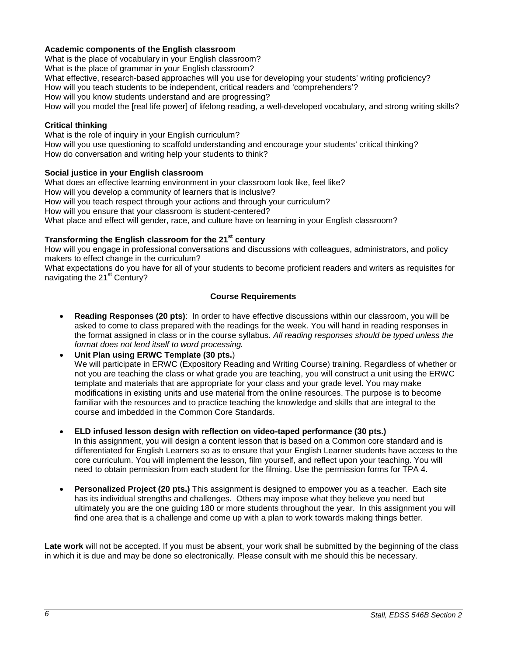## **Academic components of the English classroom**

What is the place of vocabulary in your English classroom?

What is the place of grammar in your English classroom?

What effective, research-based approaches will you use for developing your students' writing proficiency?

How will you teach students to be independent, critical readers and 'comprehenders'?

How will you know students understand and are progressing?

How will you model the [real life power] of lifelong reading, a well-developed vocabulary, and strong writing skills?

## **Critical thinking**

What is the role of inquiry in your English curriculum? How will you use questioning to scaffold understanding and encourage your students' critical thinking? How do conversation and writing help your students to think?

## **Social justice in your English classroom**

What does an effective learning environment in your classroom look like, feel like? How will you develop a community of learners that is inclusive? How will you teach respect through your actions and through your curriculum? How will you ensure that your classroom is student-centered? What place and effect will gender, race, and culture have on learning in your English classroom?

## **Transforming the English classroom for the 21st century**

How will you engage in professional conversations and discussions with colleagues, administrators, and policy makers to effect change in the curriculum?

What expectations do you have for all of your students to become proficient readers and writers as requisites for navigating the  $21<sup>st</sup>$  Century?

## **Course Requirements**

- **Reading Responses (20 pts)**: In order to have effective discussions within our classroom, you will be asked to come to class prepared with the readings for the week. You will hand in reading responses in the format assigned in class or in the course syllabus. *All reading responses should be typed unless the format does not lend itself to word processing.*
- **Unit Plan using ERWC Template (30 pts.**) We will participate in ERWC (Expository Reading and Writing Course) training. Regardless of whether or not you are teaching the class or what grade you are teaching, you will construct a unit using the ERWC template and materials that are appropriate for your class and your grade level. You may make modifications in existing units and use material from the online resources. The purpose is to become familiar with the resources and to practice teaching the knowledge and skills that are integral to the course and imbedded in the Common Core Standards.
- **ELD infused lesson design with reflection on video-taped performance (30 pts.)** In this assignment, you will design a content lesson that is based on a Common core standard and is differentiated for English Learners so as to ensure that your English Learner students have access to the core curriculum. You will implement the lesson, film yourself, and reflect upon your teaching. You will need to obtain permission from each student for the filming. Use the permission forms for TPA 4.
- **Personalized Project (20 pts.)** This assignment is designed to empower you as a teacher. Each site has its individual strengths and challenges. Others may impose what they believe you need but ultimately you are the one guiding 180 or more students throughout the year. In this assignment you will find one area that is a challenge and come up with a plan to work towards making things better.

**Late work** will not be accepted. If you must be absent, your work shall be submitted by the beginning of the class in which it is due and may be done so electronically. Please consult with me should this be necessary.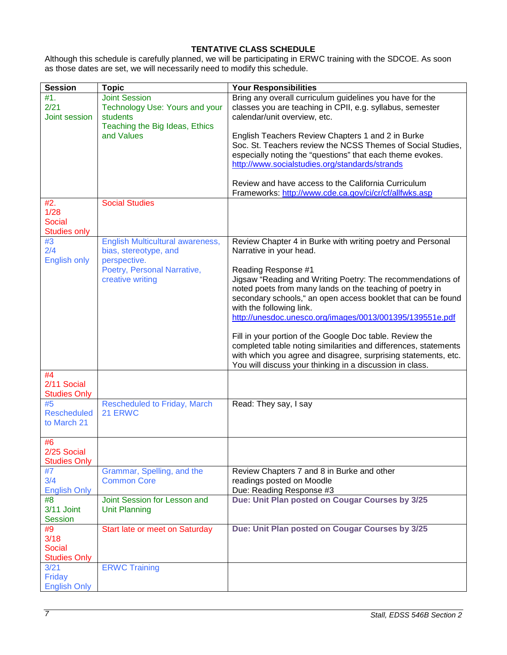## **TENTATIVE CLASS SCHEDULE**

Although this schedule is carefully planned, we will be participating in ERWC training with the SDCOE. As soon as those dates are set, we will necessarily need to modify this schedule.

| <b>Session</b>                | <b>Topic</b>                                    | <b>Your Responsibilities</b>                                    |
|-------------------------------|-------------------------------------------------|-----------------------------------------------------------------|
| #1.                           | <b>Joint Session</b>                            | Bring any overall curriculum guidelines you have for the        |
| 2/21                          | Technology Use: Yours and your                  | classes you are teaching in CPII, e.g. syllabus, semester       |
| Joint session                 | students                                        | calendar/unit overview, etc.                                    |
|                               | Teaching the Big Ideas, Ethics                  |                                                                 |
|                               | and Values                                      | English Teachers Review Chapters 1 and 2 in Burke               |
|                               |                                                 | Soc. St. Teachers review the NCSS Themes of Social Studies,     |
|                               |                                                 | especially noting the "questions" that each theme evokes.       |
|                               |                                                 | http://www.socialstudies.org/standards/strands                  |
|                               |                                                 |                                                                 |
|                               |                                                 | Review and have access to the California Curriculum             |
|                               |                                                 | Frameworks: http://www.cde.ca.gov/ci/cr/cf/allfwks.asp          |
| #2.                           | <b>Social Studies</b>                           |                                                                 |
| 1/28                          |                                                 |                                                                 |
| <b>Social</b>                 |                                                 |                                                                 |
| <b>Studies only</b>           |                                                 |                                                                 |
| #3                            | English Multicultural awareness,                | Review Chapter 4 in Burke with writing poetry and Personal      |
| 2/4                           | bias, stereotype, and                           | Narrative in your head.                                         |
| <b>English only</b>           | perspective.                                    | Reading Response #1                                             |
|                               | Poetry, Personal Narrative,<br>creative writing | Jigsaw "Reading and Writing Poetry: The recommendations of      |
|                               |                                                 | noted poets from many lands on the teaching of poetry in        |
|                               |                                                 | secondary schools," an open access booklet that can be found    |
|                               |                                                 | with the following link.                                        |
|                               |                                                 | http://unesdoc.unesco.org/images/0013/001395/139551e.pdf        |
|                               |                                                 |                                                                 |
|                               |                                                 | Fill in your portion of the Google Doc table. Review the        |
|                               |                                                 | completed table noting similarities and differences, statements |
|                               |                                                 | with which you agree and disagree, surprising statements, etc.  |
|                               |                                                 | You will discuss your thinking in a discussion in class.        |
| #4                            |                                                 |                                                                 |
| 2/11 Social                   |                                                 |                                                                 |
| <b>Studies Only</b>           |                                                 |                                                                 |
| #5                            | Rescheduled to Friday, March                    | Read: They say, I say                                           |
| <b>Rescheduled</b>            | 21 ERWC                                         |                                                                 |
| to March 21                   |                                                 |                                                                 |
|                               |                                                 |                                                                 |
| #6                            |                                                 |                                                                 |
| 2/25 Social                   |                                                 |                                                                 |
| <b>Studies Only</b>           |                                                 |                                                                 |
| #7                            | Grammar, Spelling, and the                      | Review Chapters 7 and 8 in Burke and other                      |
| 3/4                           | <b>Common Core</b>                              | readings posted on Moodle                                       |
| <b>English Only</b>           |                                                 | Due: Reading Response #3                                        |
| #8                            | Joint Session for Lesson and                    | Due: Unit Plan posted on Cougar Courses by 3/25                 |
| 3/11 Joint                    | <b>Unit Planning</b>                            |                                                                 |
| <b>Session</b>                |                                                 |                                                                 |
| #9                            | Start late or meet on Saturday                  | Due: Unit Plan posted on Cougar Courses by 3/25                 |
| 3/18                          |                                                 |                                                                 |
| <b>Social</b>                 |                                                 |                                                                 |
| <b>Studies Only</b>           |                                                 |                                                                 |
| 3/21                          | <b>ERWC Training</b>                            |                                                                 |
| Friday<br><b>English Only</b> |                                                 |                                                                 |
|                               |                                                 |                                                                 |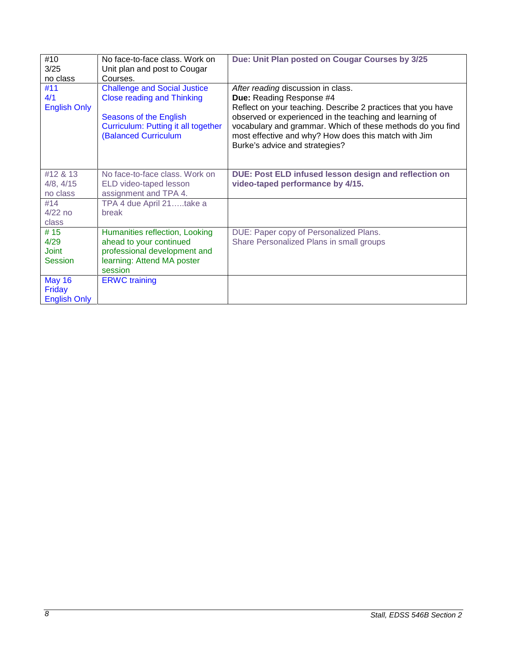| #10<br>3/25                                    | No face-to-face class. Work on<br>Unit plan and post to Cougar                                                                                                           | Due: Unit Plan posted on Cougar Courses by 3/25                                                                                                                                                                                                                                                                                                   |
|------------------------------------------------|--------------------------------------------------------------------------------------------------------------------------------------------------------------------------|---------------------------------------------------------------------------------------------------------------------------------------------------------------------------------------------------------------------------------------------------------------------------------------------------------------------------------------------------|
| no class                                       | Courses.                                                                                                                                                                 |                                                                                                                                                                                                                                                                                                                                                   |
| #11<br>4/1<br><b>English Only</b>              | <b>Challenge and Social Justice</b><br><b>Close reading and Thinking</b><br>Seasons of the English<br><b>Curriculum: Putting it all together</b><br>(Balanced Curriculum | After reading discussion in class.<br>Due: Reading Response #4<br>Reflect on your teaching. Describe 2 practices that you have<br>observed or experienced in the teaching and learning of<br>vocabulary and grammar. Which of these methods do you find<br>most effective and why? How does this match with Jim<br>Burke's advice and strategies? |
| #12 & 13<br>4/8, 4/15<br>no class              | No face-to-face class. Work on<br>ELD video-taped lesson<br>assignment and TPA 4.                                                                                        | DUE: Post ELD infused lesson design and reflection on<br>video-taped performance by 4/15.                                                                                                                                                                                                                                                         |
| #14<br>$4/22$ no<br>class                      | TPA 4 due April 21take a<br>break                                                                                                                                        |                                                                                                                                                                                                                                                                                                                                                   |
| # 15<br>4/29<br><b>Joint</b><br><b>Session</b> | Humanities reflection, Looking<br>ahead to your continued<br>professional development and<br>learning: Attend MA poster<br>session                                       | DUE: Paper copy of Personalized Plans.<br>Share Personalized Plans in small groups                                                                                                                                                                                                                                                                |
| <b>May 16</b><br>Friday<br><b>English Only</b> | <b>ERWC</b> training                                                                                                                                                     |                                                                                                                                                                                                                                                                                                                                                   |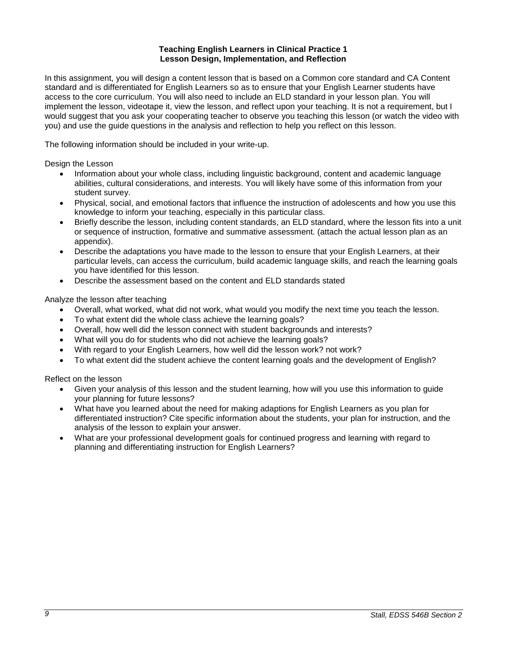#### **Teaching English Learners in Clinical Practice 1 Lesson Design, Implementation, and Reflection**

In this assignment, you will design a content lesson that is based on a Common core standard and CA Content standard and is differentiated for English Learners so as to ensure that your English Learner students have access to the core curriculum. You will also need to include an ELD standard in your lesson plan. You will implement the lesson, videotape it, view the lesson, and reflect upon your teaching. It is not a requirement, but I would suggest that you ask your cooperating teacher to observe you teaching this lesson (or watch the video with you) and use the guide questions in the analysis and reflection to help you reflect on this lesson.

The following information should be included in your write-up.

Design the Lesson

- Information about your whole class, including linguistic background, content and academic language abilities, cultural considerations, and interests. You will likely have some of this information from your student survey.
- Physical, social, and emotional factors that influence the instruction of adolescents and how you use this knowledge to inform your teaching, especially in this particular class.
- Briefly describe the lesson, including content standards, an ELD standard, where the lesson fits into a unit or sequence of instruction, formative and summative assessment. (attach the actual lesson plan as an appendix).
- Describe the adaptations you have made to the lesson to ensure that your English Learners, at their particular levels, can access the curriculum, build academic language skills, and reach the learning goals you have identified for this lesson.
- Describe the assessment based on the content and ELD standards stated

Analyze the lesson after teaching

- Overall, what worked, what did not work, what would you modify the next time you teach the lesson.
- To what extent did the whole class achieve the learning goals?
- Overall, how well did the lesson connect with student backgrounds and interests?
- What will you do for students who did not achieve the learning goals?
- With regard to your English Learners, how well did the lesson work? not work?
- To what extent did the student achieve the content learning goals and the development of English?

Reflect on the lesson

- Given your analysis of this lesson and the student learning, how will you use this information to guide your planning for future lessons?
- What have you learned about the need for making adaptions for English Learners as you plan for differentiated instruction? Cite specific information about the students, your plan for instruction, and the analysis of the lesson to explain your answer.
- What are your professional development goals for continued progress and learning with regard to planning and differentiating instruction for English Learners?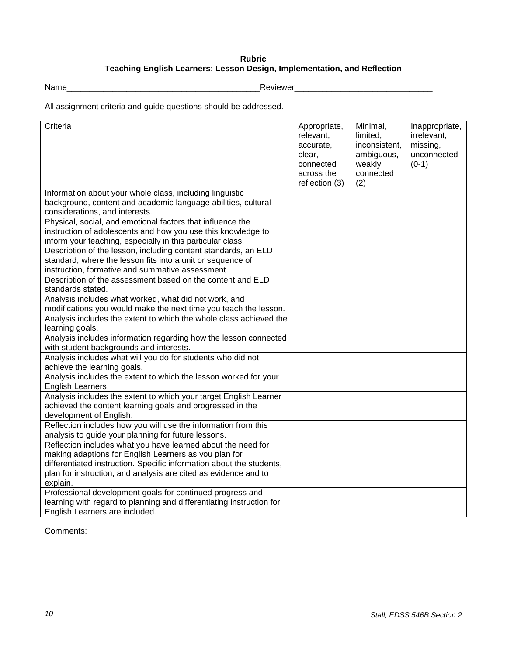## **Rubric Teaching English Learners: Lesson Design, Implementation, and Reflection**

Name\_\_\_\_\_\_\_\_\_\_\_\_\_\_\_\_\_\_\_\_\_\_\_\_\_\_\_\_\_\_\_\_\_\_\_\_\_\_\_\_\_\_Reviewer\_\_\_\_\_\_\_\_\_\_\_\_\_\_\_\_\_\_\_\_\_\_\_\_\_\_\_\_\_\_

All assignment criteria and guide questions should be addressed.

| Criteria                                                                                                                                                                                                                                                                     | Appropriate,<br>relevant,<br>accurate,<br>clear,<br>connected<br>across the<br>reflection (3) | Minimal,<br>limited,<br>inconsistent,<br>ambiguous,<br>weakly<br>connected<br>(2) | Inappropriate,<br>irrelevant,<br>missing,<br>unconnected<br>$(0-1)$ |
|------------------------------------------------------------------------------------------------------------------------------------------------------------------------------------------------------------------------------------------------------------------------------|-----------------------------------------------------------------------------------------------|-----------------------------------------------------------------------------------|---------------------------------------------------------------------|
| Information about your whole class, including linguistic<br>background, content and academic language abilities, cultural<br>considerations, and interests.                                                                                                                  |                                                                                               |                                                                                   |                                                                     |
| Physical, social, and emotional factors that influence the<br>instruction of adolescents and how you use this knowledge to<br>inform your teaching, especially in this particular class.                                                                                     |                                                                                               |                                                                                   |                                                                     |
| Description of the lesson, including content standards, an ELD<br>standard, where the lesson fits into a unit or sequence of<br>instruction, formative and summative assessment.                                                                                             |                                                                                               |                                                                                   |                                                                     |
| Description of the assessment based on the content and ELD<br>standards stated.                                                                                                                                                                                              |                                                                                               |                                                                                   |                                                                     |
| Analysis includes what worked, what did not work, and<br>modifications you would make the next time you teach the lesson.<br>Analysis includes the extent to which the whole class achieved the                                                                              |                                                                                               |                                                                                   |                                                                     |
| learning goals.                                                                                                                                                                                                                                                              |                                                                                               |                                                                                   |                                                                     |
| Analysis includes information regarding how the lesson connected<br>with student backgrounds and interests.                                                                                                                                                                  |                                                                                               |                                                                                   |                                                                     |
| Analysis includes what will you do for students who did not<br>achieve the learning goals.                                                                                                                                                                                   |                                                                                               |                                                                                   |                                                                     |
| Analysis includes the extent to which the lesson worked for your<br>English Learners.                                                                                                                                                                                        |                                                                                               |                                                                                   |                                                                     |
| Analysis includes the extent to which your target English Learner<br>achieved the content learning goals and progressed in the<br>development of English.                                                                                                                    |                                                                                               |                                                                                   |                                                                     |
| Reflection includes how you will use the information from this<br>analysis to guide your planning for future lessons.                                                                                                                                                        |                                                                                               |                                                                                   |                                                                     |
| Reflection includes what you have learned about the need for<br>making adaptions for English Learners as you plan for<br>differentiated instruction. Specific information about the students,<br>plan for instruction, and analysis are cited as evidence and to<br>explain. |                                                                                               |                                                                                   |                                                                     |
| Professional development goals for continued progress and<br>learning with regard to planning and differentiating instruction for<br>English Learners are included.                                                                                                          |                                                                                               |                                                                                   |                                                                     |

Comments: